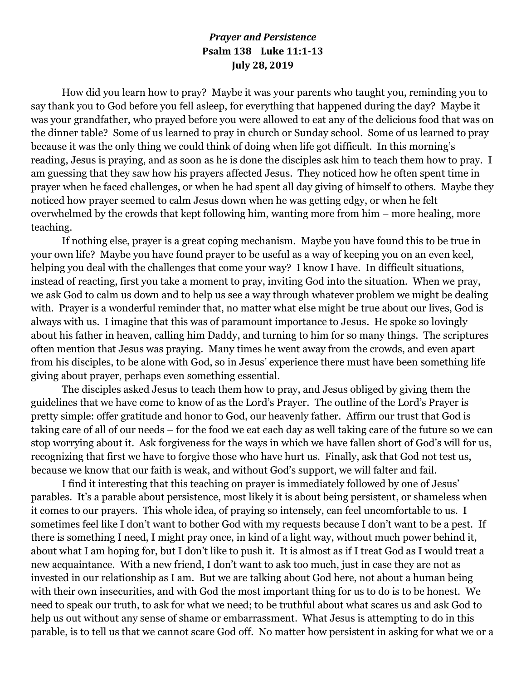## *Prayer and Persistence* **Psalm 138 Luke 11:1-13 July 28, 2019**

How did you learn how to pray? Maybe it was your parents who taught you, reminding you to say thank you to God before you fell asleep, for everything that happened during the day? Maybe it was your grandfather, who prayed before you were allowed to eat any of the delicious food that was on the dinner table? Some of us learned to pray in church or Sunday school. Some of us learned to pray because it was the only thing we could think of doing when life got difficult. In this morning's reading, Jesus is praying, and as soon as he is done the disciples ask him to teach them how to pray. I am guessing that they saw how his prayers affected Jesus. They noticed how he often spent time in prayer when he faced challenges, or when he had spent all day giving of himself to others. Maybe they noticed how prayer seemed to calm Jesus down when he was getting edgy, or when he felt overwhelmed by the crowds that kept following him, wanting more from him – more healing, more teaching.

If nothing else, prayer is a great coping mechanism. Maybe you have found this to be true in your own life? Maybe you have found prayer to be useful as a way of keeping you on an even keel, helping you deal with the challenges that come your way? I know I have. In difficult situations, instead of reacting, first you take a moment to pray, inviting God into the situation. When we pray, we ask God to calm us down and to help us see a way through whatever problem we might be dealing with. Prayer is a wonderful reminder that, no matter what else might be true about our lives, God is always with us. I imagine that this was of paramount importance to Jesus. He spoke so lovingly about his father in heaven, calling him Daddy, and turning to him for so many things. The scriptures often mention that Jesus was praying. Many times he went away from the crowds, and even apart from his disciples, to be alone with God, so in Jesus' experience there must have been something life giving about prayer, perhaps even something essential.

The disciples asked Jesus to teach them how to pray, and Jesus obliged by giving them the guidelines that we have come to know of as the Lord's Prayer. The outline of the Lord's Prayer is pretty simple: offer gratitude and honor to God, our heavenly father. Affirm our trust that God is taking care of all of our needs – for the food we eat each day as well taking care of the future so we can stop worrying about it. Ask forgiveness for the ways in which we have fallen short of God's will for us, recognizing that first we have to forgive those who have hurt us. Finally, ask that God not test us, because we know that our faith is weak, and without God's support, we will falter and fail.

I find it interesting that this teaching on prayer is immediately followed by one of Jesus' parables. It's a parable about persistence, most likely it is about being persistent, or shameless when it comes to our prayers. This whole idea, of praying so intensely, can feel uncomfortable to us. I sometimes feel like I don't want to bother God with my requests because I don't want to be a pest. If there is something I need, I might pray once, in kind of a light way, without much power behind it, about what I am hoping for, but I don't like to push it. It is almost as if I treat God as I would treat a new acquaintance. With a new friend, I don't want to ask too much, just in case they are not as invested in our relationship as I am. But we are talking about God here, not about a human being with their own insecurities, and with God the most important thing for us to do is to be honest. We need to speak our truth, to ask for what we need; to be truthful about what scares us and ask God to help us out without any sense of shame or embarrassment. What Jesus is attempting to do in this parable, is to tell us that we cannot scare God off. No matter how persistent in asking for what we or a